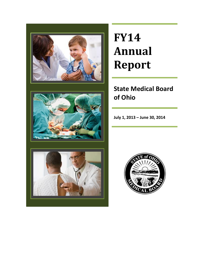

# **FY14 Annual Report**

# **State Medical Board of Ohio**

**July 1, 2013 – June 30, 2014**



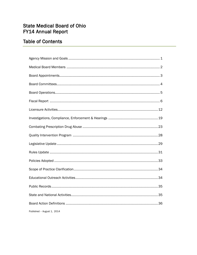### **State Medical Board of Ohio FY14 Annual Report**

### **Table of Contents**

| Published - August 1, 2014 |
|----------------------------|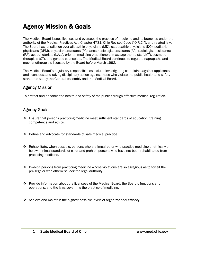# Agency Mission & Goals

The Medical Board issues licenses and oversees the practice of medicine and its branches under the authority of the Medical Practices Act, Chapter 4731, Ohio Revised Code ("O.R.C."), and related law. The Board has jurisdiction over allopathic physicians (MD), osteopathic physicians (DO), podiatric physicians (DPM), physician assistants (PA), anesthesiologist assistants (AA), radiologist assistants: (RA), acupuncturists (L.Ac.), oriental medicine practitioners, massage therapists (LMT), cosmetic therapists (CT), and genetic counselors. The Medical Board continues to regulate naprapaths and mechanotherapists licensed by the Board before March 1992.

The Medical Board's regulatory responsibilities include investigating complaints against applicants and licensees, and taking disciplinary action against those who violate the public health and safety standards set by the General Assembly and the Medical Board.

### Agency Mission

To protect and enhance the health and safety of the public through effective medical regulation.

### Agency Goals

- $\cdot$  Ensure that persons practicing medicine meet sufficient standards of education, training, competence and ethics.
- Define and advocate for standards of safe medical practice.
- Rehabilitate, when possible, persons who are impaired or who practice medicine unethically or below minimal standards of care, and prohibit persons who have not been rehabilitated from practicing medicine.
- $\cdot \cdot$  Prohibit persons from practicing medicine whose violations are so egregious as to forfeit the privilege or who otherwise lack the legal authority.
- Provide information about the licensees of the Medical Board, the Board's functions and operations, and the laws governing the practice of medicine.
- \* Achieve and maintain the highest possible levels of organizational efficacy.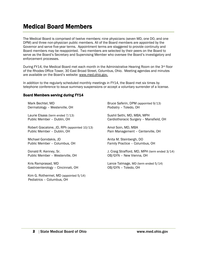### Medical Board Members

The Medical Board is comprised of twelve members: nine physicians (seven MD, one DO, and one DPM) and three non-physician public members. All of the Board members are appointed by the Governor and serve five-year terms. Appointment terms are staggered to provide continuity and Board members may be reappointed. Two members are selected by their peers on the Board to serve as the Board's Secretary and Supervising Member who oversee the Board's investigatory and enforcement processes.

During FY14, the Medical Board met each month in the Administrative Hearing Room on the 3<sup>rd</sup> floor of the Rhodes Office Tower, 30 East Broad Street, Columbus, Ohio. Meeting agendas and minutes are available on the Board's website: [www.med.ohio.gov.](http://www.med.ohio.gov/)

In addition to the regularly scheduled monthly meetings in FY14, the Board met six times by telephone conference to issue summary suspensions or accept a voluntary surrender of a license.

#### Board Members serving during FY14

Mark Bechtel, MD Dermatology – Westerville, OH

Laurie Elsass (term ended 7/13) Public Member – Dublin, OH

Robert Giacalone, JD, RPh (appointed 10/13) Public Member – Dublin, OH

Michael Gonidakis, JD Public Member – Columbus, OH

Donald R. Kenney, Sr. Public Member – Westerville, OH

Kris Ramprasad, MD Gastroenterology – Cincinnati, OH

Kim G. Rothermel, MD (appointed 5/14) Pediatrics – Columbus, OH

Bruce Saferin, DPM (appointed 9/13) Podiatry – Toledo, OH

Sushil Sethi, MD, MBA, MPH Cardiothoracic Surgery – Mansfield, OH

Amol Soin, MD, MBA Pain Management – Centerville, OH

Anita M. Steinbergh, DO Family Practice – Columbus, OH

J. Craig Strafford, MD, MPH (term ended 3/14) OB/GYN – New Vienna, OH

Lance Talmage, MD (term ended 5/14) OB/GYN – Toledo, OH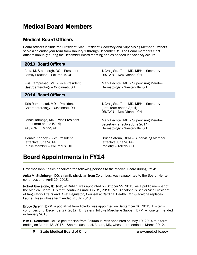### Medical Board Officers

Board officers include the President, Vice President, Secretary and Supervising Member. Officers serve a calendar year term from January 1 through December 31. The Board members elect officers annually during the December Board meeting and as needed if a vacancy occurs.

### 2013 Board Officers

Anita M. Steinbergh, DO – President Family Practice – Columbus, OH

Kris Ramprasad, MD – Vice President Gastroenterology – Cincinnati, OH

OB/GYN – New Vienna, OH Mark Bechtel, MD – Supervising Member

Dermatology – Westerville, OH

J. Craig Strafford, MD, MPH – Secretary

#### 2014 Board Officers

 Kris Ramprasad, MD – President Gastroenterology – Cincinnati, OH

Lance Talmage, MD – Vice President (until term ended 5/14) OB/GYN – Toledo, OH

 Donald Kenney – Vice President (effective June 2014) Public Member – Columbus, OH

J. Craig Strafford, MD, MPH – Secretary (until term ended 3/14) OB/GYN – New Vienna, OH

Mark Bechtel, MD – Supervising Member Secretary (effective June 2014) Dermatology – Westerville, OH

Bruce Saferin, DPM – Supervising Member (effective June 2014) Podiatry – Toledo, OH

# Board Appointments in FY14

Governor John Kasich appointed the following persons to the Medical Board during FY14:

Anita M. Steinbergh, DO, a family physician from Columbus, was reappointed to the Board. Her term continues until April 25, 2018.

Robert Giacalone, JD, RPh, of Dublin, was appointed on October 29, 2013, as a public member of the Medical Board. His term continues until July 31, 2018. Mr. Giacalone is Senior Vice President of Regulatory Affairs and Chief Regulatory Counsel at Cardinal Health. Mr. Giacalone replaces Laurie Elsass whose term ended in July 2013.

Bruce Saferin, DPM, a podiatrist from Toledo, was appointed on September 10, 2013. His term continues until December 27, 2017. Dr. Saferin follows Marchelle Suppan, DPM, whose term ended in January 2013.

Kim G. Rothermel, MD, a pediatrician from Columbus, was appointed on May 19, 2014 to a term ending on March 18, 2017. She replaces Jack Amato, MD, whose term ended in March 2012.

3 State Medical Board of Ohio www.med.ohio.gov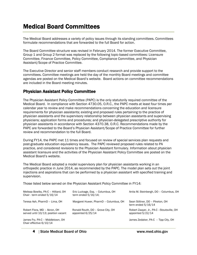### Medical Board Committees

The Medical Board addresses a variety of policy issues through its standing committees. Committees formulate recommendations that are forwarded to the full Board for action.

The Board Committee structure was revised in February 2014. The former Executive Committee, Group 1 and Group 2 format was replaced by the following topic-based committees: Licensure Committee, Finance Committee, Policy Committee, Compliance Committee, and Physician Assistant/Scope of Practice Committee.

The Executive Director and senior staff members conduct research and provide support to the committees. Committee meetings are held the day of the monthly Board meetings and committee agendas are posted on the Medical Board's website. Board actions on committee recommendations are included in the Board meeting minutes.

### Physician Assistant Policy Committee

The Physician Assistant Policy Committee (PAPC) is the only statutorily required committee of the Medical Board. In compliance with Section 4730.05, O.R.C., the PAPC meets at least four times per calendar year to review and make recommendations concerning the education and licensure requirements for physician assistants; existing and proposed rules pertaining to the practice of physician assistants and the supervisory relationship between physician assistants and supervising physicians; application forms and procedures; and physician-delegated prescriptive authority for physician assistants in accordance with Section 4370.38, O.R.C. Recommendations made by the PAPC are forwarded to the Board's Physician Assistant/Scope of Practice Committee for further review and recommendation to the full Board.

During FY14, the PAPC met 11 times and focused on review of special services plan requests and post-graduate education equivalency issues. The PAPC reviewed proposed rules related to PA practice, and considered revisions to the Physician Assistant formulary. Information about physician assistant licensure and the activities of the Physician Assistant Policy Committee are posted on the Medical Board's website.

The Medical Board adopted a model supervisory plan for physician assistants working in an orthopedic practice in June 2014, as recommended by the PAPC. The model plan sets out the joint injections and aspirations that can be performed by a physician assistant with specified training and supervision.

Those listed below served on the Physician Assistant Policy Committee in FY14:

| Melissa Bowlby, PA-C - Hilliard, OH<br>Chair - term ended 5/16/14   | Eric Luckage, Esq. - Columbus, OH<br>term ended $5/16/14$ ; | Anita M. Steinbergh, DO - Columbus, OH                          |
|---------------------------------------------------------------------|-------------------------------------------------------------|-----------------------------------------------------------------|
| Teresa Ash, PharmD - Lima, OH                                       | Margaret Huwer, PharmD - Columbus, OH                       | Sean Stiltner, DO - Piketon, OH<br>term ended $5/16/14$         |
| Robert Flora, MD - Akron, OH<br>served until 10/13; position vacant | Ronald Routh, DO - Grove City, OH<br>appointed 6/25/14      | Robert Zaayer, Jr., PA-C - Stoutsville, OH<br>appointed 5/22/14 |
| James Fry, PA-C - Middletown, OH<br>Chair effective 6/10/14         |                                                             | James Zedaker, PA-C - Tipp City, OH                             |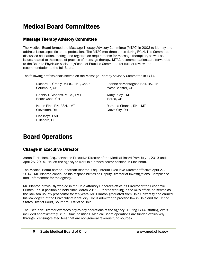### Massage Therapy Advisory Committee

The Medical Board formed the Massage Therapy Advisory Committee (MTAC) in 2003 to identify and address issues specific to the profession. The MTAC met three times during FY14. The Committee discussed education, testing, and registration requirements for massage therapists, as well as issues related to the scope of practice of massage therapy. MTAC recommendations are forwarded to the Board's Physician Assistant/Scope of Practice Committee for further review and recommendation to the full Board.

The following professionals served on the Massage Therapy Advisory Committee in FY14:

Richard A. Greely, M.Ed., LMT, Chair Columbus, OH

Dennis J. Gibbons, M.Ed., LMT Beachwood, OH

Karen Fink, RN, BSN, LMT Cleveland, OH

Lisa Keys, LMT Hillsboro, OH

Jeanne deMontagnac-Hall, BS, LMT West Chester, OH

Mary Riley, LMT Berea, OH

Ramona Chance, RN, LMT Grove City, OH

# Board Operations

### Change in Executive Director

Aaron E. Haslam, Esq., served as Executive Director of the Medical Board from July 1, 2013 until April 26, 2014. He left the agency to work in a private sector position in Cincinnati.

The Medical Board named Jonathan Blanton, Esq., Interim Executive Director effective April 27, 2014. Mr. Blanton continued his responsibilities as Deputy Director of Investigations, Compliance and Enforcement for the agency.

Mr. Blanton previously worked in the Ohio Attorney General's office as Director of the Economic Crimes Unit, a position he held since March 2011. Prior to working in the AG's office, he served as the Jackson County prosecutor for ten years. Mr. Blanton graduated from Ohio University and earned his law degree at the University of Kentucky. He is admitted to practice law in Ohio and the United States District Court, Southern District of Ohio.

The Executive Director oversees day-to-day operations of the agency. During FY14, staffing levels included approximately 81 full time positions. Medical Board operations are funded exclusively through licensing-related fees that are non-general revenue fund sources.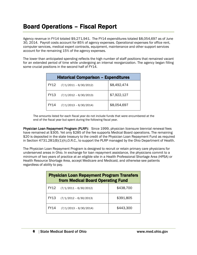### Board Operations – Fiscal Report

Agency revenue in FY14 totaled \$9,271,941. The FY14 expenditures totaled \$8,054,697 as of June 30, 2014. Payroll costs account for 85% of agency expenses. Operational expenses for office rent, computer services, medical expert contracts, equipment, maintenance and other support services account for the remaining 15% of the agency expenses.

The lower than anticipated spending reflects the high number of staff positions that remained vacant for an extended period of time while undergoing an internal reorganization. The agency began filling some crucial positions in the second half of FY14.

| <b>Historical Comparison - Expenditures</b> |                          |             |  |  |
|---------------------------------------------|--------------------------|-------------|--|--|
| FY12                                        | $(7/1/2011 - 6/30/2012)$ | \$8,492,474 |  |  |
| <b>FY13</b>                                 | $(7/1/2012 - 6/30/2013)$ | \$7,922,127 |  |  |
| <b>FY14</b>                                 | $(7/1/2013 - 6/30/2014)$ | \$8,054,697 |  |  |

The amounts listed for each fiscal year do not include funds that were encumbered at the end of the fiscal year but spent during the following fiscal year.

Physician Loan Repayment Program (PLRP): Since 1999, physician licensure biennial renewal fees have remained at \$305. Yet only \$285 of the fee supports Medical Board operations. The remaining \$20 is deposited in the state treasury to the credit of the Physician Loan Repayment Fund as required in Section 4731.281(B)(1)(h),O.R.C., to support the PLRP managed by the Ohio Department of Health.

The Physician Loan Repayment Program is designed to recruit or retain primary care physicians for underserved areas in Ohio. In exchange for loan repayment assistance, the physicians commit to a minimum of two years of practice at an eligible site in a Health Professional Shortage Area (HPSA) or Health Resource Shortage Area, accept Medicare and Medicaid, and otherwise see patients regardless of ability to pay.

| <b>Physician Loan Repayment Program Transfers</b><br>from Medical Board Operating Fund |                                 |           |  |
|----------------------------------------------------------------------------------------|---------------------------------|-----------|--|
|                                                                                        | $FY12$ $(7/1/2011 - 6/30/2012)$ | \$438,700 |  |
| FY13                                                                                   | $(7/1/2012 - 6/30/2013)$        | \$391,805 |  |
| FY14                                                                                   | $(7/1/2013 - 6/30/2014)$        | \$443,300 |  |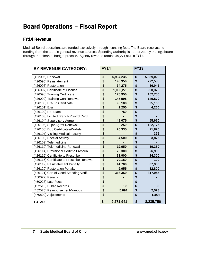### FY14 Revenue

Medical Board operations are funded exclusively through licensing fees. The Board receives no funding from the state's general revenue sources. Spending authority is authorized by the legislature through the biennial budget process. Agency revenue totaled \$9,271,941 in FY14.

| <b>BY REVENUE CATEGORY:</b>               | <b>FY14</b>                          |           | <b>FY13</b> |           |
|-------------------------------------------|--------------------------------------|-----------|-------------|-----------|
| (422005) Renewal                          | \$                                   | 6,937,235 | \$          | 5,869,020 |
| (426095) Reinstatement                    | \$                                   | 198,950   | \$          | 222,585   |
| (426096) Restoration                      | \$                                   | 34,275    | \$          | 36,045    |
| (426097) Certificate of License           | $\overline{\mathbf{S}}$              | 1,086,270 | \$          | 990,375   |
| (426098) Training Certificate             | $\overline{\boldsymbol{\mathsf{s}}}$ | 175,950   | \$          | 162,750   |
| (426099) Training Cert Renewal            | \$                                   | 147,595   | \$          | 149,870   |
| (426100) Pre-Ed Certificate               | \$                                   | 95,100    | \$          | 95,160    |
| (426101) Exam                             | \$                                   | 2,250     | \$          | 4,250     |
| (426102) Re-Exam                          | \$                                   | 750       | \$          |           |
| (426103) Limited Branch Pre-Ed Certif     | \$                                   |           | \$          |           |
| (426104) Supervisory Agreemt              | \$                                   | 48,075    | \$          | 55,670    |
| (426105) Supv Agrmt Renewal               | $\overline{\mathbf{S}}$              | 250       | \$          | 182,175   |
| (426106) Dup Certificates/Wallets         | $\overline{\mathbf{S}}$              | 20,335    | \$          | 21,820    |
| (426107) Visiting Medical Faculty         | \$                                   |           | \$          | 375       |
| (426108) Special Activity                 | \$                                   | 4,500     | \$          | 3,875     |
| (426109) Telemedicine                     | $\overline{\mathbf{S}}$              |           | \$          |           |
| (426110) Telemedicine Renewal             | \$                                   | 19,950    | \$          | 19,380    |
| (426114) Provisional Certif to Prescrib   | $\overline{\boldsymbol{\mathsf{s}}}$ | 25,300    | \$          | 26,900    |
| (426115) Certificate to Prescribe         | \$                                   | 31,900    | \$          | 24,300    |
| (426116) Certificate to Prescribe Renewal | \$                                   | 70,150    | \$          | 100       |
| (426119) Reinstatement Penalty            | \$                                   | 41,700    | \$          | 37,900    |
| (426120) Restoration Penalty              | \$                                   | 9,955     | \$          | 12,800    |
| (426121) Cert of Good Standing Verif.     | $\overline{\mathbf{s}}$              | 316,350   | \$          | 317,945   |
| (450022) Penalty                          | \$                                   |           | \$          |           |
| (450023) Late Fees                        | \$                                   |           | \$          |           |
| (452518) Public Records                   | \$                                   | 10        | \$          | 33        |
| (452525) Reimbursement-Various            | $\overline{\boldsymbol{\mathsf{s}}}$ | 5,091     | \$          | 2,528     |
| (470800) Adjustments                      | \$                                   |           | \$          | (100)     |
| <b>TOTAL:</b>                             | \$                                   | 9,271,941 | \$          | 8,235,756 |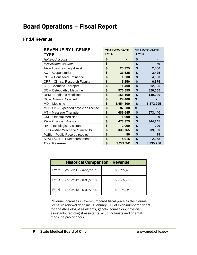### FY 14 Revenue

| <b>REVENUE BY LICENSE</b><br>TYPE:     | <b>YEAR-TO-DATE</b><br><b>FY14</b> |           | <b>FY13</b> | <b>YEAR-TO-DATE</b> |
|----------------------------------------|------------------------------------|-----------|-------------|---------------------|
| <b>Holding Account</b>                 | \$                                 |           | \$          |                     |
| Miscellaneous/Other                    | \$                                 |           | \$          | 50                  |
| AA - Anesthesiologist Asst.            | \$                                 | 20,325    | \$          | 2,500               |
| AC - Acupuncturist                     | \$                                 | 21,625    | \$          | 2,425               |
| <b>CCE - Conceded Eminence</b>         | \$                                 | 1,000     | \$          | 4,000               |
| <b>CRF</b> - Clinical Research Faculty | \$                                 | 5,250     | \$          | 6,375               |
| CT - Cosmetic Therapist                | \$                                 | 11,400    | \$          | 12,925              |
| DO - Osteopathic Medicine              | \$                                 | 976,855   | \$          | 826,555             |
| <b>DPM</b> - Podiatric Medicine        | \$                                 | 156,100   | \$          | 149,090             |
| GC - Genetic Counselor                 | \$                                 | 29,400    | \$          |                     |
| MD - Medicine                          | \$                                 | 6,454,300 | \$          | 5,872,295           |
| MD EXP - Expedited physician license   | \$                                 | 87,000    | \$          |                     |
| MT - Massage Therapist                 | \$                                 | 689,645   | \$          | 673,440             |
| OM - Oriental Medicine                 | \$                                 | 1,900     | \$          | 300                 |
| PA - Physician Assistant               | \$                                 | 473,375   | \$          | 344,145             |
| RA - Radiologist Assistant             | \$                                 | 2,000     | \$          | 200                 |
| LICS - Misc./Mechano./Limited Br.      | \$                                 | 336,765   | \$          | 339,300             |
| PUBL - Public Records (copies)         | \$                                 | 86        | \$          | 98                  |
| <b>STAFF/OTHER Reimbursements</b>      | \$                                 | 4,915     | \$          | 2,058               |
| <b>Total Revenue</b>                   | \$                                 | 9,271,941 | \$          | 8,235,756           |

| <b>Historical Comparison - Revenue</b> |                                 |             |  |
|----------------------------------------|---------------------------------|-------------|--|
| FY12                                   | $(7/1/2011 - 6/30/2012)$        | \$8,795,400 |  |
|                                        | $FY13$ $(7/1/2012 - 6/30/2013)$ | \$8,235,756 |  |
| <b>FY14</b>                            | $(7/1/2013 - 6/30/2014)$        | \$9,271,941 |  |

Revenue increases in even-numbered fiscal years as the biennial licensure renewal deadline is January 31st of even-numbered years for anesthesiologist assistants, genetic counselors, physician assistants, radiologist assistants, acupuncturists and oriental medicine practitioners.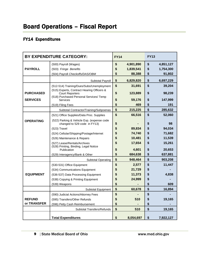# Board Operations – Fiscal Report

### FY14 Expenditures

|                                                | BY EXPENDITURE CATEGORY:                                                                                        | <b>FY14</b>                 |                                  | <b>FY13</b>    |                                  |
|------------------------------------------------|-----------------------------------------------------------------------------------------------------------------|-----------------------------|----------------------------------|----------------|----------------------------------|
| <b>PAYROLL</b>                                 | (500) Payroll (Wages)<br>(503) Fringe Benefits<br>(504) Payroll Checkoffs/DAS/OBM                               | \$<br>\$<br>\$              | 4,901,890<br>1,839,541<br>88,388 | \$<br>\$<br>\$ | 4,851,127<br>1,754,300<br>91,802 |
|                                                | Subtotal Payroll                                                                                                | \$                          | 6,829,820                        | \$             | 6,697,229                        |
|                                                | (512-514) Training/Dues/Subs/Unemployment                                                                       | \$                          | 31,691                           | \$             | 39,204                           |
| <b>PURCHASED</b>                               | (515) Experts, Contract Hearing Officers &<br><b>Court Reporters</b><br>(518) Purchased Personal Services/ Temp | \$                          | 123,889                          | \$             | 98,239                           |
| <b>SERVICES</b>                                | <b>Services</b>                                                                                                 | \$                          | 59,176                           | \$             | 147,999                          |
|                                                | (519) Filing Fees                                                                                               | \$                          | 469                              | \$             | 191                              |
|                                                | Subtotal Contractor/Training/Subpoenas                                                                          | \$                          | 215,225                          | \$             | 285,632                          |
|                                                | (521) Office Supplies/Data Proc. Supplies                                                                       | \$<br>66,516                |                                  | \$             | 52,060                           |
| <b>OPERATING</b>                               | (522) Parking & Vehicle Exp. (expense code<br>changed to 529 code in FY13)                                      | \$                          |                                  | \$             | 98                               |
|                                                | \$<br>89,834<br>$(523)$ Travel                                                                                  |                             | \$                               | 94,034         |                                  |
|                                                | \$<br>74,740<br>(524) Cellular/Shipping/Postage/Internet                                                        |                             | \$                               | 71,682         |                                  |
|                                                | (526) Maintenance & Repairs                                                                                     | \$<br>10,481                |                                  | \$             | 11,539                           |
|                                                | (527) Lease/Rentals/Archives<br>(528) Printing, Binding, Legal Notice<br>Publication                            | \$<br>17,654<br>\$<br>4,601 |                                  | \$<br>\$       | 15,261<br>20,653                 |
|                                                | (529) Interagency/Bank & Other                                                                                  | \$                          | 684,638                          | \$             | 637,881                          |
| <b>Subtotal Operating</b>                      |                                                                                                                 | \$                          | 948,464                          | \$             | 903,208                          |
|                                                | (530-531) Office Equipment                                                                                      | \$                          | 2,577                            | \$             | 11,447                           |
|                                                | (534) Communications Equipment                                                                                  | \$                          | 21,729                           | \$             |                                  |
| <b>EQUIPMENT</b>                               | (536-537) Data Processing Equipment                                                                             | \$                          | 11,373                           | \$             | 4,838                            |
|                                                | (538) Copying & Printing Equipment                                                                              | \$                          | 24,999                           | \$             |                                  |
|                                                | (539) Weapons                                                                                                   | \$                          |                                  | \$             | 609                              |
| Subtotal Equipment                             |                                                                                                                 | \$                          | 60,678                           | \$             | 16,894                           |
|                                                | (590) Judicial Actions/Attorney Fees                                                                            | \$                          |                                  | \$             |                                  |
| <b>REFUND</b><br>(595) Transfers/Other Refunds |                                                                                                                 | \$                          | 510                              | \$             | 19,165                           |
| or TRANSFER                                    | (596) Petty Cash Reimbursement                                                                                  | \$                          |                                  | \$             |                                  |
|                                                | Subtotal Transfers/Refunds                                                                                      | \$                          | 510                              | \$             | 19,165                           |
|                                                | <b>Total Expenditures</b>                                                                                       | \$                          | 8,054,697                        | \$             | 7,922,127                        |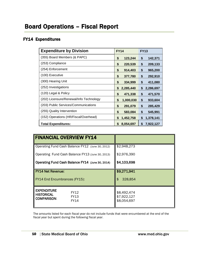### FY14 Expenditures

| <b>Expenditure by Division</b>          | <b>FY14</b>     | <b>FY13</b>     |
|-----------------------------------------|-----------------|-----------------|
| (355) Board Members (& PAPC)            | \$<br>123,244   | 142,371<br>\$   |
| (253) Compliance                        | \$<br>220,539   | \$<br>209,133   |
| (254) Enforcement                       | \$<br>914,403   | \$<br>965,200   |
| (100) Executive                         | \$<br>377,780   | \$<br>292,910   |
| (300) Hearing Unit                      | \$<br>334,999   | \$<br>411,080   |
| (252) Investigations                    | 2,285,440<br>\$ | 2,286,697<br>\$ |
| (120) Legal & Policy                    | 471,338<br>\$   | \$<br>471,570   |
| (202) Licensure/Renewal/Info Technology | \$<br>1,000,030 | \$<br>933,604   |
| (203) Public Services/Communications    | \$<br>291,079   | \$<br>285,429   |
| (255) Quality Intervention              | \$<br>583,084   | \$<br>545,991   |
| (152) Operations (HR/Fiscal/Overhead)   | \$<br>1,452,758 | \$<br>1,378,141 |
| <b>Total Expenditures:</b>              | 8,054,697<br>S  | \$<br>7,922,127 |

| <b>FINANCIAL OVERVIEW FY14</b>                                                        |                                           |
|---------------------------------------------------------------------------------------|-------------------------------------------|
| Operating Fund Cash Balance FY12 (June 30, 2012)                                      | \$2,948,273                               |
| Operating Fund Cash Balance FY13 (June 30, 2013)                                      | \$2,976,390                               |
| Operating Fund Cash Balance FY14 (June 30, 2014)                                      | \$4,103,698                               |
| <b>FY14 Net Revenue:</b>                                                              | \$9,271,941                               |
| FY14 End Encumbrances (FY15):                                                         | \$<br>328,854                             |
| <b>EXPENDITURE</b><br>FY12<br><b>HISTORICAL</b><br>FY13<br><b>COMPARISON:</b><br>FY14 | \$8,492,474<br>\$7,922,127<br>\$8,054,697 |

The amounts listed for each fiscal year do not include funds that were encumbered at the end of the fiscal year but spent during the following fiscal year.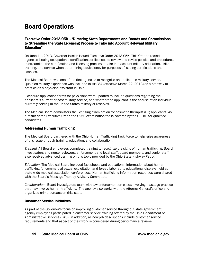### Board Operations

#### Executive Order 2013-05K –"Directing State Departments and Boards and Commissions to Streamline the State Licensing Process to Take into Account Relevant Military Education"

On June 11, 2013, Governor Kasich issued Executive Order 2013-05K. This Order directed agencies issuing occupational certifications or licenses to review and revise policies and procedures to streamline the certification and licensing process to take into account military education, skills training, and service when determining equivalency for purposes of issuing certifications and licenses.

The Medical Board was one of the first agencies to recognize an applicant's military service. Qualified military experience was included in HB284 (effective March 22, 2013) as a pathway to practice as a physician assistant in Ohio.

Licensure application forms for physicians were updated to include questions regarding the applicant's current or past military service, and whether the applicant is the spouse of an individual currently serving in the United States military or reserves.

The Medical Board administers the licensing examination for cosmetic therapist (CT) applicants. As a result of the Executive Order, the \$250 examination fee is covered by the G.I. bill for qualified candidates.

#### Addressing Human Trafficking

The Medical Board partnered with the Ohio Human Trafficking Task Force to help raise awareness of this issue through training, education, and collaboration.

*Training:* All Board employees completed training to recognize the signs of human trafficking. Board investigators and nurse reviewers, enforcement and legal staff, board members, and senior staff also received advanced training on this topic provided by the Ohio State Highway Patrol.

*Education:* The Medical Board included fact sheets and educational information about human trafficking for commercial sexual exploitation and forced labor at its educational displays held at state wide medical association conferences. Human trafficking information resources were shared with the Board's Massage Therapy Advisory Committee.

*Collaboration:* Board investigators team with law enforcement on cases involving massage practice that may involve human trafficking. The agency also works with the Attorney General's office and organized crime bureaus on this issue.

#### Customer Service Initiatives

As part of the Governor's focus on improving customer service throughout state government, agency employees participated in customer service training offered by the Ohio Department of Administrative Services (DAS). In addition, all new job descriptions include customer service requirements and that aspect of their work is considered during performance reviews.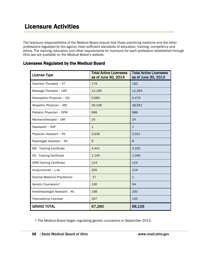The licensure responsibilities of the Medical Board ensure that those practicing medicine and the other professions regulated by the agency meet sufficient standards of education, training, competency and ethics. The training, education and other requirements for licensure for each profession established through Ohio law are available on the Medical Board's website.

|  |  | <b>Licensees Regulated by the Medical Board</b> |
|--|--|-------------------------------------------------|
|--|--|-------------------------------------------------|

| <b>License Type</b>                   | <b>Total Active Licensees</b><br>as of June 30, 2014 | <b>Total Active Licensees</b><br>as of June 30, 2013 |
|---------------------------------------|------------------------------------------------------|------------------------------------------------------|
| Cosmetic Therapist - CT               | 179                                                  | 183                                                  |
| Massage Therapist - LMT               | 12,199                                               | 12,264                                               |
| Osteopathic Physician - DO            | 5,685                                                | 5,479                                                |
| Allopathic Physician - MD             | 39,108                                               | 38,561                                               |
| Podiatric Physician - DPM             | 989                                                  | 989                                                  |
| Mechanotherapist - DM                 | 24                                                   | 24                                                   |
| Naprapath - NAP                       | $\mathbf{1}$                                         | $\mathbf{1}$                                         |
| Physician Assistant - PA              | 2,639                                                | 2,551                                                |
| Radiologist Assistant - RA            | 9                                                    | 8                                                    |
| <b>Training Certificate</b><br>MD     | 4,441                                                | 4,332                                                |
| DO Training Certificate               | 1,145                                                | 1,049                                                |
| <b>DPM Training Certificate</b>       | 124                                                  | 124                                                  |
| Acupuncturist - L.Ac.                 | 205                                                  | 214                                                  |
| <b>Oriental Medicine Practitioner</b> | 17                                                   | $\mathbf{1}$                                         |
| Genetic Counselors*                   | 130                                                  | <b>NA</b>                                            |
| Anesthesiologist Assistant - AA       | 198                                                  | 200                                                  |
| <b>Telemedicine Licenses</b>          | 167                                                  | 145                                                  |
| <b>GRAND TOTAL</b>                    | 67,260                                               | 66,126                                               |

\* The Medical Board began regulating genetic counselors in September 2013.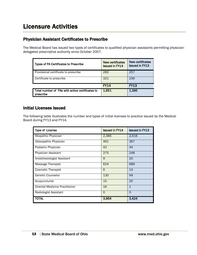### Physician Assistant Certificates to Prescribe

The Medical Board has issued two types of certificates to qualified physician assistants permitting physiciandelegated prescriptive authority since October 2007.

| <b>Types of PA Certificates to Prescribe</b>                 | New certificates<br><b>Issued in FY14</b> | New certificates<br><b>Issued in FY13</b> |
|--------------------------------------------------------------|-------------------------------------------|-------------------------------------------|
| Provisional certificate to prescribe                         | 260                                       | 257                                       |
| Certificate to prescribe                                     | 321                                       | 239                                       |
|                                                              | <b>FY14</b>                               | <b>FY13</b>                               |
| Total number of PAs with active certificates to<br>prescribe | 1,651                                     | 1,395                                     |

### Initial Licenses Issued

The following table illustrates the number and types of initial licenses to practice issued by the Medical Board during FY13 and FY14.

| <b>Type of License</b>                | <b>Issued in FY14</b> | <b>Issued in FY13</b> |
|---------------------------------------|-----------------------|-----------------------|
| Allopathic Physician                  | 2,386                 | 2,016                 |
| Osteopathic Physician                 | 461                   | 367                   |
| Podiatric Physician                   | 42                    | 44                    |
| Physician Assistant                   | 275                   | 248                   |
| Anesthesiologist Assistant            | 9                     | 20                    |
| Massage Therapist                     | 624                   | 689                   |
| <b>Cosmetic Therapist</b>             | 6                     | 14                    |
| Genetic Counselor                     | 130                   | <b>NA</b>             |
| Acupuncturist                         | 15                    | 25                    |
| <b>Oriental Medicine Practitioner</b> | 16                    | 1                     |
| Radiologist Assistant                 | $\Omega$              | $\Omega$              |
| TOTAL                                 | 3,964                 | 3,424                 |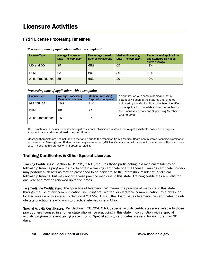### FY14 License Processing Timelines

#### *Processing time of application without a complaint*

| License Type         | <b>Average Processing</b><br>Days - no complaint | Percentage issued<br>at or below average | <b>Median Processing</b><br>Days - no complaint | Percentage of applications<br>one Standard Deviation<br>above average |
|----------------------|--------------------------------------------------|------------------------------------------|-------------------------------------------------|-----------------------------------------------------------------------|
| MD and DO            | 89                                               | 68%                                      | 65                                              | 9%                                                                    |
| <b>DPM</b>           | 63                                               | 80%                                      | 39                                              | $< 1\%$                                                               |
| Allied Practitioners | 35                                               | 66%                                      | 29                                              | 9%                                                                    |

#### *Processing time of application with a complaint*

| <b>License Type</b>         | <b>Average Processing</b><br>Days with complaint | <b>Median Processing</b><br>Days with complaint |  |
|-----------------------------|--------------------------------------------------|-------------------------------------------------|--|
| MD and DO                   | 153                                              | 108                                             |  |
| <b>DPM</b>                  | 86                                               | 94                                              |  |
| <b>Allied Practitioners</b> | 75                                               | 46                                              |  |

An application with complaint means that a potential violation of the statutes and/or rules enforced by the Medical Board has been identified n the application materials and further review by he Board's Secretary and Supervising Member was required

Allied practitioners include: anesthesiologist assistants, physician assistants, radiologist assistants, cosmetic therapists, acupuncturists, and oriental medicine practitioners

Massage therapists are not included in the tables due to the transition from a Medical Board administered licensing examination to the national Massage and Bodywork licensing examination (MBLEx). Genetic counselors are not included since the Board only began licensing this profession in September 2013.

### Training Certificates & Other Special Licenses

Training Certificates:Section 4731.291, O.R.C., requires those participating in a medical residency or fellowship training program in Ohio to obtain a training certificate or a full license. Training certificate holders may perform such acts as may be prescribed to or incidental to the internship, residency, or clinical fellowship training, but may not otherwise practice medicine in this state. Training certificates are valid for one year and may be renewed up to five times.

Telemedicine Certificates:The "practice of telemedicine" means the practice of medicine in this state through the use of any communication, including oral, written, or electronic communication, by a physician located outside of this state. By Section 4731.296, O.R.C., the Board issues telemedicine certificates to outof-state practitioners who wish to practice telemedicine in Ohio.

Special Activity Certificates: Per Section 4731.294, O.R.C., special activity certificates are available to those practitioners licensed in another state who will be practicing in this state in conjunction with a special activity, program or event taking place in Ohio. Special activity certificates are valid for no more than 30 days.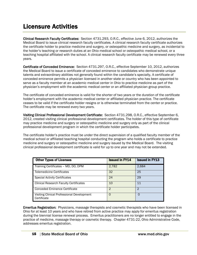Clinical Research Faculty Certificates: Section 4731.293, O.R.C., effective June 6, 2012, authorizes the Medical Board to issue clinical research faculty certificates. A clinical research faculty certificate authorizes the certificate holder to practice medicine and surgery, or osteopathic medicine and surgery, as incidental to the holder's teaching or research duties at an Ohio medical school or osteopathic medical school, or a teaching hospital affiliated with the school. A clinical research faculty certificate may be renewed every three years.

Certificate of Conceded Eminence: Section 4731.297, O.R.C., effective September 10, 2012, authorizes the Medical Board to issue a certificate of conceded eminence to candidates who demonstrate unique talents and extraordinary abilities not generally found within the candidate's specialty. A certificate of conceded eminence permits a physician licensed in another state or country who has been appointed to serve as a faculty member at an academic medical center in Ohio to practice medicine as part of the physician's employment with the academic medical center or an affiliated physician group practice.

The certificate of conceded eminence is valid for the shorter of two years or the duration of the certificate holder's employment with the academic medical center or affiliated physician practice. The certificate ceases to be valid if the certificate holder resigns or is otherwise terminated from the center or practice. The certificate may be renewed every two years.

Visiting Clinical Professional Development Certificate:Section 4731.298, O.R.C., effective September 6, 2012, created visiting clinical professional development certificates. The holder of this type of certificate may practice medicine and surgery or osteopathic medicine and surgery only as part of the clinical professional development program in which the certificate holder participates.

The certificate holder's practice must be under the direct supervision of a qualified faculty member of the medical school or affiliated teaching hospital conducting the program who holds a certificate to practice medicine and surgery or osteopathic medicine and surgery issued by the Medical Board. The visiting clinical professional development certificate is valid for up to one year and may not be extended.

| <b>Other Types of Licenses</b>                            | <b>Issued in FY14</b> | <b>Issued in FY13</b> |
|-----------------------------------------------------------|-----------------------|-----------------------|
| Training Certificates - MD, DO, DPM                       | 2,782                 | 2,684                 |
| Telemedicine Certificates                                 | 32                    | 25                    |
| <b>Special Activity Certificates</b>                      | 24                    | 29                    |
| <b>Clinical Research Faculty Certificates</b>             | 10                    | 11                    |
| <b>Conceded Eminence Certificate</b>                      | 2                     | 2                     |
| Visiting Clinical Professional Development<br>Certificate | O                     | O                     |

Emeritus Registration:Physicians, massage therapists and cosmetic therapists who have been licensed in Ohio for at least 10 years and who have retired from active practice may apply for emeritus registration during the biennial license renewal process. Emeritus practitioners are no longer entitled to engage in the practice of medicine, massage therapy or cosmetic therapy. Chapter 4731-22, Ohio Administrative Code, addresses emeritus registration.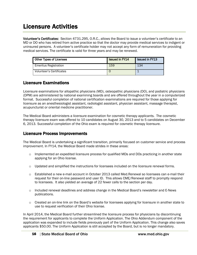Volunteer's Certificates:Section 4731.295, O.R.C., allows the Board to issue a volunteer's certificate to an MD or DO who has retired from active practice so that the doctor may provide medical services to indigent or uninsured persons. A volunteer's certificate holder may not accept any form of remuneration for providing medical services. The certificate is valid for three years and may be renewed.

| Other Types of Licenses         | <b>Issued in FY14</b> | I Issued in FY13 |
|---------------------------------|-----------------------|------------------|
| <b>Emeritus Registration</b>    | 159                   | 134              |
| <b>Volunteer's Certificates</b> |                       |                  |

#### Licensure Examinations

Licensure examinations for allopathic physicians (MD), osteopathic physicians (DO), and podiatric physicians (DPM) are administered by national examining boards and are offered throughout the year in a computerized format. Successful completion of national certification examinations are required for those applying for licensure as an anesthesiologist assistant, radiologist assistant, physician assistant, massage therapist, acupuncturist or oriental medicine practitioner.

The Medical Board administers a licensure examination for cosmetic therapy applicants. The cosmetic therapy licensure exam was offered to 10 candidates on August 30, 2013 and to 5 candidates on December 6, 2013. Successful completion of the Ohio exam is required for cosmetic therapy licensure.

#### Licensure Process Improvements

The Medical Board is undertaking a significant transition, primarily focused on customer service and process improvement. In FY14, the Medical Board made strides in these areas:

- o Implemented an expedited licensure process for qualified MDs and DOs practicing in another state applying for an Ohio license.
- $\circ$  Updated and simplified the instructions for licensees included on the licensure renewal forms.
- o Established a new e-mail account in October 2013 called Med.Renewal so licensees can e-mail their request for their on-line password and user ID. This allows CME/Renewal staff to promptly respond to licensees. It also yielded an average of 22 fewer calls to the section per day.
- $\circ$  Included renewal deadlines and address change in the Medical Board's newsletter and E-News publications.
- $\circ$  Created an on-line link on the Board's website for licensees applying for licensure in another state to use to request verification of their Ohio license.

In April 2014, the Medical Board further streamlined the licensure process for physicians by discontinuing the requirement for applicants to complete the Uniform Application. The Ohio Addendum component of the application was expanded to include fields previously part of the Uniform Application. This change also saves applicants \$50.00. The Uniform Application is still accepted by the Board, but is no longer mandatory.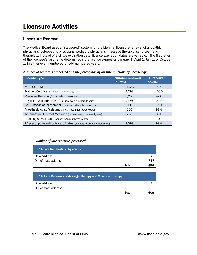### Licensure Renewal

The Medical Board uses a "staggered" system for the biennial licensure renewal of allopathic physicians, osteopathic physicians, podiatric physicians, massage therapist sand cosmetic therapists. Instead of a single expiration date, license expiration dates are variable. The first letter of the licensee's last name determines if the license expires on January 1, April 1, July 1, or October 1, in either even numbered or odd numbered years.

*Number of renewals processed and the percentage of on-line renewals by license type*

| <b>License Type</b>                                                  | <b>Number renewed</b><br>in FY14 | % renewed<br>on-line |
|----------------------------------------------------------------------|----------------------------------|----------------------|
| MD/DO/DPM                                                            | 21,657                           | 98%                  |
| Training Certificate (annual renewal July)                           | 4.298                            | 100%                 |
| Massage Therapist/Cosmetic Therapist                                 | 5.255                            | 97%                  |
| Physician Assistants (PA) (January even numbered years)              | 2366                             | 99%                  |
| PA Supervision Agreement (January odd numbered years)                | 11                               | 100%                 |
| Anesthesiologist Assistant (January even numbered years)             | 200                              | 97%                  |
| Acupuncture/Oriental Medicine (January even numbered years)          | 208                              | 88%                  |
| Radiologist Assistant (January even numbered years)                  | 0                                | Ω                    |
| PA prescriptive authority certificates (January even numbered years) | 1.399                            | 99%                  |

#### *Number of late renewals processed*

| <b>FY 14 Late Renewals - Physicians</b> |       |     |
|-----------------------------------------|-------|-----|
| Ohio address                            |       | 145 |
| Out-of-state address                    |       | 313 |
|                                         | Total | 458 |

| <b>FY 14 Late Renewals - Massage Therapy and Cosmetic Therapy</b> |       |     |
|-------------------------------------------------------------------|-------|-----|
| Ohio address                                                      |       | 546 |
| Out-of-state address                                              |       | 63  |
|                                                                   | Total | 609 |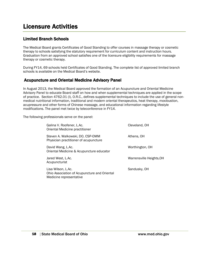### Limited Branch Schools

The Medical Board grants Certificates of Good Standing to offer courses in massage therapy or cosmetic therapy to schools satisfying the statutory requirement for curriculum content and instruction hours. Graduation from an approved school satisfies one of the licensure eligibility requirements for massage therapy or cosmetic therapy.

During FY14, 69 schools held Certificates of Good Standing. The complete list of approved limited branch schools is available on the Medical Board's website.

### Acupuncture and Oriental Medicine Advisory Panel

In August 2013, the Medical Board approved the formation of an Acupuncture and Oriental Medicine Advisory Panel to educate Board staff on how and when supplemental techniques are applied in the scope of practice. Section 4762.01 (I), O.R.C., defines supplemental techniques to include the use of general nonmedical nutritional information, traditional and modern oriental therapeutics, heat therapy, moxibustion, acupressure and other forms of Chinese massage, and educational information regarding lifestyle modifications. The panel met twice by teleconference in FY14.

The following professionals serve on the panel:

| Galina V. Roofener, L.Ac.<br>Oriental Medicine practitioner                                   | Cleveland, OH            |
|-----------------------------------------------------------------------------------------------|--------------------------|
| Steven A. Walkowski, DO, CSP-OMM<br>Physician practitioner of acupuncture                     | Athens, OH               |
| David Wang, L.Ac.<br>Oriental Medicine & Acupuncture educator                                 | Worthington, OH          |
| Jared West, L.Ac.<br>Acupuncturist                                                            | Warrensville Heights, OH |
| Lisa Wilson, L.Ac.<br>Ohio Association of Acupuncture and Oriental<br>Medicine representative | Sandusky, OH             |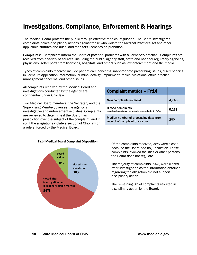# Investigations, Compliance, Enforcement & Hearings

The Medical Board protects the public through effective medical regulation. The Board investigates complaints, takes disciplinary actions against those who violate the Medical Practices Act and other applicable statutes and rules, and monitors licensees on probation.

Complaints: Complaints inform the Board of potential problems with a licensee's practice. Complaints are received from a variety of sources, including the public, agency staff, state and national regulatory agencies, physicians, self-reports from licensees, hospitals, and others such as law enforcement and the media.

Types of complaints received include patient care concerns, inappropriate prescribing issues, discrepancies in licensure application information, criminal activity, impairment, ethical violations, office practice management concerns, and other issues.

All complaints received by the Medical Board and investigations conducted by the agency are confidential under Ohio law.

Two Medical Board members, the Secretary and the Supervising Member, oversee the agency's investigative and enforcement activities. Complaints are reviewed to determine if the Board has jurisdiction over the subject of the complaint, and if so, if the allegations violate a section of Ohio law or a rule enforced by the Medical Board.

| <b>Complaint metrics - FY14</b>                                                       |       |
|---------------------------------------------------------------------------------------|-------|
| New complaints received                                                               | 4.745 |
| <b>Closed complaints</b><br>includes disposition of complaints received prior to FY14 | 5.238 |
| Median number of processing days from<br>receipt of complaint to closure              | 200   |



**FY14 Medical Board Complaint Disposition**

Of the complaints received, 38% were closed because the Board had no jurisdiction. These complaints involved facilities or other persons the Board does not regulate.

The majority of complaints, 54%, were closed after investigation as the information obtained regarding the allegation did not support disciplinary action.

The remaining 8% of complaints resulted in disciplinary action by the Board.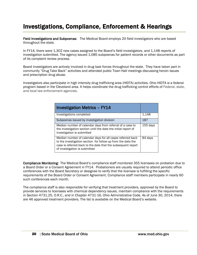# Investigations, Compliance, Enforcement & Hearings

Field Investigations and Subpoenas: The Medical Board employs 20 field investigators who are based throughout the state.

In FY14, there were 1,302 new cases assigned to the Board's field investigators, and 1,148 reports of investigation submitted. The agency issued 1,085 subpoenas for patient records or other documents as part of its complaint review process.

Board investigators are actively involved in drug task forces throughout the state. They have taken part in community "Drug Take Back" activities and attended public Town Hall meetings discussing heroin issues and prescription drug abuse.

Investigators also participate in high intensity drug trafficking area (HIDTA) activities. Ohio HIDTA is a federal program based in the Cleveland area. It helps coordinate the drug trafficking control efforts of Federal, state, and local law enforcement agencies.

| <b>Investigation Metrics - FY14</b>                                                                                                                                                                                         |            |
|-----------------------------------------------------------------------------------------------------------------------------------------------------------------------------------------------------------------------------|------------|
| Investigations completed                                                                                                                                                                                                    | 1,148      |
| Subpoenas issued by investigation division                                                                                                                                                                                  | 187        |
| Median number of calendar days from referral of a case to<br>the investigation section until the date the initial report of<br>investigation is submitted                                                                   | $155$ days |
| Median number of calendar days for all cases referred back<br>to the investigation section for follow-up from the date the<br>case is referred back to the date that the subsequent report<br>of investigation is submitted | 84 days    |

Compliance Monitoring: The Medical Board's compliance staff monitored 355 licensees on probation due to a Board Order or a Consent Agreement in FY14. Probationers are usually required to attend periodic office conferences with the Board Secretary or designee to verify that the licensee is fulfilling the specific requirements of the Board Order or Consent Agreement. Compliance staff members participate in nearly 60 such conferences each month.

The compliance staff is also responsible for verifying that treatment providers, approved by the Board to provide services to licensees with chemical dependency issues, maintain compliance with the requirements in Section 4731.25, O.R.C., and in Chapter 4731-16, Ohio Administrative Code. As of June 30, 2014, there are 46 approved treatment providers. The list is available on the Medical Board's website.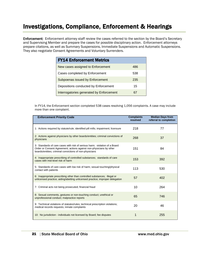### Investigations, Compliance, Enforcement & Hearings

Enforcement: Enforcement attorney staff review the cases referred to the section by the Board's Secretary and Supervising Member and prepare the cases for possible disciplinary action. Enforcement attorneys prepare citations, as well as Summary Suspensions, Immediate Suspensions and Automatic Suspensions. They also negotiate Consent Agreements and Voluntary Surrenders.

| <b>FY14 Enforcement Metrics</b>          |     |
|------------------------------------------|-----|
| New cases assigned to Enforcement        | 486 |
| Cases completed by Enforcement           | 538 |
| Subpoenas issued by Enforcement          | 235 |
| Depositions conducted by Enforcement     | 15  |
| Interrogatories generated by Enforcement |     |

In FY14, the Enforcement section completed 538 cases resolving 1,056 complaints. A case may include more than one complaint.

| <b>Enforcement Priority Code</b>                                                                                                                                                                             | <b>Complaints</b><br>resolved | <b>Median Days from</b><br>referral to completion |
|--------------------------------------------------------------------------------------------------------------------------------------------------------------------------------------------------------------|-------------------------------|---------------------------------------------------|
| 1: Actions required by statute/rule; identified pill mills; impairment; licensure                                                                                                                            | 218                           | 77                                                |
| 2: Actions against physicians by other boards/entities; criminal convictions of<br>physicians                                                                                                                | 268                           | 37                                                |
| 3: Standards of care cases with risk of serious harm; violation of a Board<br>Order or Consent Agreement; actions against non-physicians by other<br>boards/entities; criminal convictions of non-physicians | 151                           | 84                                                |
| 4: Inappropriate prescribing of controlled substances; standards of care<br>cases with mid-level risk of harm                                                                                                | 153                           | 392                                               |
| 5. Standards of care cases with low risk of harm; sexual touching/physical<br>contact with patients                                                                                                          | 113                           | 530                                               |
| 6: Inappropriate prescribing other than controlled substances; illegal or<br>unlicensed practice; aiding/abetting unlicensed practice; improper delegation                                                   | 57                            | 402                                               |
| 7: Criminal acts not being prosecuted; financial fraud                                                                                                                                                       | 10                            | 264                                               |
| 8: Sexual comments, gestures or non-touching conduct; unethical or<br>unprofessional conduct; malpractice reports                                                                                            | 65                            | 746                                               |
| 9: Technical violations of statutes/rules; technical prescription violations;<br>medical records requests; inmate complaints                                                                                 | 20                            | 46                                                |
| 10: No jurisdiction - individuals not licensed by Board; fee disputes                                                                                                                                        | 1                             | 255                                               |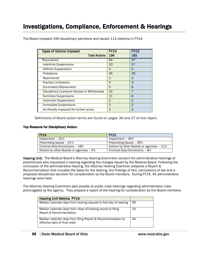| <b>Types of Actions Imposed</b>               | <b>FY14</b>    | <b>FY13</b>    |
|-----------------------------------------------|----------------|----------------|
| <b>Total Actions</b>                          | 196            | 182            |
| Revocations                                   | 64             | 47             |
| <b>Indefinite Suspensions</b>                 | 33             | 57             |
| Definite Suspensions                          | 4              | 5              |
| Probations                                    | 45             | 39             |
| Reprimands                                    | 1              | 3              |
| <b>Practice Limitations</b>                   | 4              | 3              |
| Surrenders/Retirements                        | 5              | 6              |
| Disciplinary Licensure Denials or Withdrawals | 22             | 7              |
| <b>Summary Suspensions</b>                    | 11             | 8              |
| <b>Automatic Suspensions</b>                  | $\overline{2}$ | $\mathfrak{D}$ |
| Immediate Suspensions                         | $\overline{2}$ | $\overline{2}$ |
| No Penalty Imposed/No further action          | 3              | 3              |

The Board imposed 196 disciplinary sanctions and issued 113 citations in FY14.

Definitions of Board action terms are found on pages 36 and 37 of this report.

#### Top Reasons for Disciplinary Action:

| <b>FY14</b>                              | <b>FY13</b>                               |
|------------------------------------------|-------------------------------------------|
| Impairment - 31%                         | Impairment - 40%                          |
| Prescribing Issues - 21%                 | Prescribing Issues - 26%                  |
| Criminal Acts/Convictions - 18%          | Actions by other Boards or agencies - 11% |
| Actions by other Boards or agencies - 6% | Criminal Acts/Convictions - 8%            |

Hearing Unit: The Medical Board's Attorney Hearing Examiners conduct the administrative hearings of practitioners who requested a hearing regarding the charges issued by the Medical Board. Following the conclusion of the administrative hearing, the Attorney Hearing Examiner prepares a Report & Recommendation that includes the basis for the hearing, the findings of fact, conclusions of law and a proposed disciplinary sanction for consideration by the Board members. During FY14, 45 administrative hearings were held.

The Attorney Hearing Examiners also preside at public rules hearings regarding administrative rules promulgated by the agency. They prepare a report of the hearing for consideration by the Board members.

| <b>Hearing Unit Metrics FY14:</b>                                                            |    |
|----------------------------------------------------------------------------------------------|----|
| Median calendar days from hearing request to first day of hearing                            | 90 |
| Median calendar days from close of hearing record to filing<br>Report & Recommendation       | 24 |
| Median calendar days from filing Report & Recommendation to<br>effective date of final order | 44 |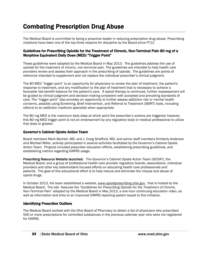The Medical Board is committed to being a proactive leader in reducing prescription drug abuse. Prescribing violations have been one of the top three reasons for discipline by the Board since FY12.

#### Guidelines for Prescribing Opioids for the Treatment of Chronic, Non-Terminal Pain 80 mg of a Morphine Equivalent Daily Dose (MED) "Trigger Point"

These guidelines were adopted by the Medical Board in May 2013. The guidelines address the use of opioids for the treatment of chronic, non-terminal pain. The guidelines are intended to help health care providers review and assess their approach in the prescribing of opioids. The guidelines are points of reference intended to supplement and not replace the individual prescriber's clinical judgment.

The 80 MED "trigger point" is an opportunity for physicians to review the plan of treatment, the patient's response to treatment, and any modification to the plan of treatment that is necessary to achieve a favorable risk-benefit balance for the patient's care. If opioid therapy is continued, further reassessment will be guided by clinical judgment and decision-making consistent with accepted and prevailing standards of care. The "trigger point" also provides an opportunity to further assess addiction risk or mental health concerns, possibly using Screening, Brief Intervention, and Referral to Treatment (SBIRT) tools, including referral to an addiction medicine specialist when appropriate.

The 80 mg MED is the maximum daily dose at which point the prescriber's actions are triggered; however, this 80 mg MED trigger point is not an endorsement by any regulatory body or medical professional to utilize that dose or greater.

#### Governor's Cabinet Opiate Action Team

Board members Mark Bechtel, MD, and J. Craig Strafford, MD, and senior staff members Kimberly Anderson and Michael Miller, actively participated in several activities facilitated by the Governor's Cabinet Opiate Action Team. Projects included prescriber education efforts, establishing prescribing guidelines, and establishing metrics regarding OARRS usage.

Prescribing Resource Website launched: The Governor's Cabinet Opiate Action Team (GCOAT), the Medical Board, and a group of professional health care provider regulatory boards, associations, individual providers and other key stakeholders focused efforts on educating health care professionals and patients. The goal of this educational effort is to help reduce and eliminate the misuse and abuse of opioid drugs.

In October 2013, the team established a website, [www.opioidprescribing.ohio.gov,](http://www.opioidprescribing.ohio.gov/) that is hosted by the Medical Board. The site features the *"Guidelines for Prescribing Opioids for the Treatment of Chronic, Non-Terminal Pain"* adopted by the Medical Board in May 2013, a one hour continuing education video, as well as information and links to an improved OARRS reporting system keyed to this initiative.

#### Identifying Prescriber Outliers

The Medical Board worked with the Ohio Board of Pharmacy to obtain a list of physicians who prescribed 500 or more prescriptions for controlled substances in the previous calendar year who were not registered for OARRS.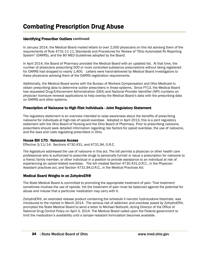#### Identifying Prescriber Outliers continued

In January 2014, the Medical Board mailed letters to over 2,000 physicians on this list advising them of the requirements of Rule 4731-11-11, Standards and Procedures for Review of "Ohio Automated Rx Reporting System" (OARRS), and the 80 MED Guidelines adopted by the Board.

In April 2014, the Board of Pharmacy provided the Medical Board with an updated list. At that time, the number of physicians prescribing 500 or more controlled substance prescriptions without being registered for OARRS had dropped to nearly 1,400. Letters were hand-delivered by Medical Board investigators to these physicians advising them of the OARRS registration requirements.

Additionally, the Medical Board works with the Bureau of Workers Compensation and Ohio Medicaid to obtain prescribing data to determine outlier prescribers in those systems. Since FY13, the Medical Board has requested Drug Enforcement Administration (DEA) and National Provider Identifier (NPI) numbers on physician licensure renewal applications to help overlay the Medical Board's data with the prescribing data on OARRS and other systems.

#### Prescription of Naloxone to High Risk Individuals - Joint Regulatory Statement

The regulatory statement is an overview intended to raise awareness about the benefits of prescribing naloxone for individuals at high-risk of opioid overdose. Adopted in April 2013, this is a joint regulatory statement with the Ohio Board of Nursing and the Ohio Board of Pharmacy. Prior to prescribing naloxone, prescribers should seek detailed information regarding risk factors for opioid overdose, the use of naloxone, and the laws and rules regulating prescribers in Ohio.

#### House Bill 170: Naloxone Access

Effective 3/11/14: Sections 4730.431, and 4731.94, O.R.C.

The legislature addressed the use of naloxone in this act. The bill permits a physician or other health care professional who is authorized to prescribe drugs to personally furnish or issue a prescription for naloxone to a friend, family member, or other individual in a position to provide assistance to an individual at risk of experiencing an opioid-related overdose. The bill created Section 4730.431,O.R.C., in the Physician Assistant practices act, and Section 4731.94,O.R.C., in the Medical Practices Act.

#### Medical Board Weighs in on ZohydroER®

The State Medical Board is committed to promoting the appropriate treatment of pain. That treatment sometimes involves the use of opioids. Yet the treatment of pain must be balanced against the potential for abuse and misuse that a particular medication may carry with it.

ZohydroER®, an extended release product containing the schedule II narcotic hydrocodone bitartrate, was introduced to the market in March 2014. The serious risk of addiction and overdose posed by ZohydroER®, prompted the State Medical Board to send a letter to Michael Botticelli, Acting Director of the Office of National Drug Control Policy on April 3, 2014. The Medical Board called upon the Federal government to limit the medication's availability until a tamper-resistant formulation becomes available.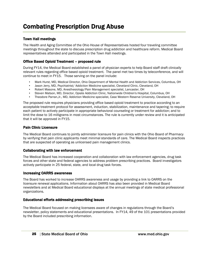#### Town Hall meetings

The Health and Aging Committee of the Ohio House of Representatives hosted four traveling committee meetings throughout the state to discuss prescription drug addiction and healthcare reform. Medical Board representatives attended and participated in the Town Hall meetings.

#### Office Based Opioid Treatment – proposed rule

During FY14, the Medical Board established a panel of physician experts to help Board staff draft clinically relevant rules regarding office based opioid treatment. The panel met two times by teleconference, and will continue to meet in FY15. Those serving on the panel include:

- Mark Hurst, MD, Medical Director, Ohio Department of Mental Health and Addiction Services, Columbus, OH
- Jason Jerry, MD, Psychiatrist/ Addiction Medicine specialist, Cleveland Clinic, Cleveland, OH
- Robert Masone, MD, Anesthesiology/Pain Management specialist, Lancaster, OH
- Steven Matson, MD, Director, Opiate Addiction Clinic, Nationwide Children's Hospital, Columbus, OH
- Theodore Parran,Jr., MD, Addiction Medicine specialist, Case Western Reserve University, Cleveland, OH

The proposed rule requires physicians providing office based opioid treatment to practice according to an acceptable treatment protocol for assessment, induction, stabilization, maintenance and tapering; to require each patient to actively participate in appropriate behavioral counseling or treatment for addiction; and to limit the dose to 16 milligrams in most circumstances. The rule is currently under review and it is anticipated that it will be approved in FY15.

#### Pain Clinic Licensure

The Medical Board continues to jointly administer licensure for pain clinics with the Ohio Board of Pharmacy by verifying that pain clinic applicants meet minimal standards of care. The Medical Board inspects practices that are suspected of operating as unlicensed pain management clinics.

#### Collaborating with law enforcement

The Medical Board has increased cooperation and collaboration with law enforcement agencies, drug task forces and other state and federal agencies to address problem prescribing practices. Board investigators actively participate in 25 federal, state, and local drug task forces.

#### Increasing OARRS awareness

The Board has worked to increase OARRS awareness and usage by providing a link to OARRS on the licensure renewal applications. Information about OARRS has also been provided in Medical Board newsletters and at Medical Board educational displays at the annual meetings of state medical professional organizations.

#### Educational efforts addressing prescribing issues

The Medical Board focused on making licensees aware of changes in regulations through the Board's newsletter, policy statements and educational presentations. In FY14, 49 of the 101 presentations provided by the Board included prescribing information.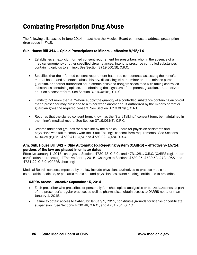The following bills passed in June 2014 impact how the Medical Board continues to address prescription drug abuse in FY15.

#### Sub. House Bill 314 – Opioid Prescriptions to Minors – effective 9/15/14

- Establishes an explicit informed consent requirement for prescribers who, in the absence of a medical emergency or other specified circumstances, intend to prescribe controlled substances containing opioids to a minor. See Section 3719.061(B), O.R.C.
- Specifies that the informed consent requirement has three components: assessing the minor's mental health and substance abuse history, discussing with the minor and the minor's parent, guardian, or another authorized adult certain risks and dangers associated with taking controlled substances containing opioids, and obtaining the signature of the parent, guardian, or authorized adult on a consent form. See Section 3719.061(B), O.R.C.
- Limits to not more than a 72-hour supply the quantity of a controlled substance containing an opioid that a prescriber may prescribe to a minor when another adult authorized by the minor's parent or guardian gives the required consent. See Section 3719.061(E), O.R.C.
- Requires that the signed consent form, known as the "Start Talking!" consent form, be maintained in the minor's medical record. See Section 3719.061(E), O.R.C.
- Creates additional grounds for discipline by the Medical Board for physician assistants and physicians who fail to comply with the "Start Talking!" consent form requirements. See Sections 4730.25 (B)(25); 4730.41 (B)(5); and 4730.22(B)(48), O.R.C.

#### Am. Sub. House Bill 341 – Ohio Automatic Rx Reporting System (OARRS) – effective 9/15/14; portions of the law are phased in on later dates

Effective January 1, 2015 - changes to Sections 4730.48, O.R.C., and 4731.281, O.R.C. (OARRS registration certification on renewal) Effective April 1, 2015 - Changes to Sections 4730.25, 4730.53, 4731.055 and 4731.22, O.R.C. (OARRS checking)

Medical Board licensees impacted by the law include physicians authorized to practice medicine, osteopathic medicine, or podiatric medicine, and physician assistants holding certificates to prescribe.

#### OARRS Access – effective September 15, 2014

- Each prescriber who prescribes or personally furnishes opioid analgesics or benzodiazepines as part of the prescriber's regular practice, as well as pharmacists, obtain access to OARRS not later than January 1, 2015.
- Failure to obtain access to OARRS by January 1, 2015, constitutes grounds for license or certificate suspension. See Sections 4730.48, O.R.C., and 4731.281, O.R.C.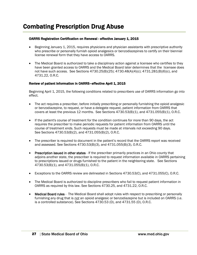#### OARRS Registration Certification on Renewal - effective January 1, 2015

- Beginning January 1, 2015, requires physicians and physician assistants with prescriptive authority who prescribe or personally furnish opioid analgesics or benzodiazepines to certify on their biennial license renewal form that they have access to OARRS.
- The Medical Board is authorized to take a disciplinary action against a licensee who certifies to they have been granted access to OARRS and the Medical Board later determines that the licensee does not have such access. See Sections 4730.25(B)(25); 4730.48(A)(4)(c); 4731.281(B)(6)(c), and 4731.22, O.R.C.

#### Review of patient information in OARRS-effective April 1, 2015

Beginning April 1, 2015, the following conditions related to prescribers use of OARRS information go into effect.

- The act requires a prescriber, before initially prescribing or personally furnishing the opioid analgesic or benzodiazepine, to request, or have a delegate request, patient information from OARRS that covers at least the previous 12 months. See Sections 4730.53(B)(1), and 4731.055(B)(1), O.R.C.
- If the patient's course of treatment for the condition continues for more than 90 days, the act requires the prescriber to make periodic requests for patient information from OARRS until the course of treatment ends. Such requests must be made at intervals not exceeding 90 days. See Sections 4730.53(B)(2), and 4731.055(B)(2), O.R.C.
- The prescriber is required to document in the patient's record that the OARRS report was received and assessed. See Sections 4730.53(B)(3), and 4731.055(B)(3), O.R.C.
- Prescription issued in other states If the prescriber primarily practices in an Ohio county that adjoins another state, the prescriber is required to request information available in OARRS pertaining to prescriptions issued or drugs furnished to the patient in the neighboring state. See Sections 4730.53(B)(1), and 4731.055(B)(1), O.R.C.
- Exceptions to the OARRS review are delineated in Sections 4730.53(C), and 4731.055(C), O.R.C.
- The Medical Board is authorized to discipline prescribers who fail to request patient information in OARRS as required by this law. See Sections 4730.25, and 4731.22, O.R.C.
- Medical Board rules The Medical Board shall adopt rules with respect to prescribing or personally furnishing any drug that is *not* an opioid analgesic or benzodiazepine but is included on OARRS (i.e. is a controlled substance). See Sections 4730.53 (D), and 4731.55 (D), O.R.C.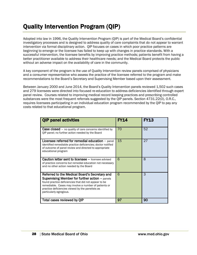# Quality Intervention Program (QIP)

Adopted into law in 1996, the Quality Intervention Program (QIP) is part of the Medical Board's confidential investigatory processes and is designed to address quality of care complaints that do not appear to warrant intervention via formal disciplinary action. QIP focuses on cases in which poor practice patterns are beginning to emerge or the licensee has failed to keep up with changes in practice standards. With a successful intervention, the licensee benefits by improving practice methods; patients benefit from having a better practitioner available to address their healthcare needs; and the Medical Board protects the public without an adverse impact on the availability of care in the community.

A key component of the program is the use of Quality Intervention review panels comprised of physicians and a consumer representative who assess the practice of the licensee referred to the program and make recommendations to the Board's Secretary and Supervising Member based upon their assessment.

Between January 2000 and June 2014, the Board's Quality Intervention panels reviewed 1,502 such cases and 279 licensees were directed into focused re-education to address deficiencies identified through expert panel review. Courses related to improving medical record keeping practices and prescribing controlled substances were the most frequent referrals suggested by the QIP panels. Section 4731.22(O), O.R.C., requires licensees participating in an individual education program recommended by the QIP to pay any costs related to that educational program.

| <b>QIP panel activities</b>                                                                                                                                                                                                                                                                             | FY14 | FY13 |
|---------------------------------------------------------------------------------------------------------------------------------------------------------------------------------------------------------------------------------------------------------------------------------------------------------|------|------|
| <b>Case closed</b> – no quality of care concerns identified by<br>OIP panel; no further action needed by the Board                                                                                                                                                                                      | 70   | 52   |
| Licensee referred for remedial education - panel<br>identified remediable practice deficiencies; doctor notified<br>of outcome of panel review and directed to appropriate<br>educational program                                                                                                       | 15   | 27   |
| <b>Caution letter sent to licensee - licensee advised</b><br>of practice concerns but remedial education not necessary<br>and no other action needed by the Board                                                                                                                                       | 6    | 8    |
| Referred to the Medical Board's Secretary and<br><b>Supervising Member for further action - panels</b><br>found practice deficiencies that did not appear to be<br>remediable. Cases may involve a number of patients or<br>practice deficiencies viewed by the panelists as<br>particularly egregious. | 6    | 3    |
| Total cases reviewed by QIP                                                                                                                                                                                                                                                                             | 97   | 90   |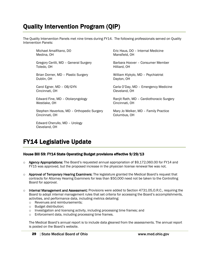# Quality Intervention Program (QIP)

The Quality Intervention Panels met nine times during FY14. The following professionals served on Quality Intervention Panels:

Michael Amalfitano, DO Medina, OH

Gregory Cerilli, MD – General Surgery Toledo, OH

Brian Dorner, MD – Plastic Surgery Dublin, OH

Carol Egner, MD – OB/GYN Cincinnati, OH

Edward Fine, MD – Otolaryngology Westlake, OH

Stephen Haverkos, MD – Orthopedic Surgery Cincinnati, OH

Edward Cherullo, MD – Urology Cleveland, OH

Eric Haus, DO – Internal Medicine Mansfield, OH

Barbara Hoover – Consumer Member Hilliard, OH

William Klykylo, MD – Psychiatrist Dayton, OH

Carla O'Day, MD – Emergency Medicine Cleveland, OH

Ranjit Rath, MD – Cardiothoracic Surgery Cincinnati, OH

Mary Jo Welker, MD – Family Practice Columbus, OH

# FY14 Legislative Update

#### House Bill 59: FY14 State Operating Budget provisions effective 9/29/13

- $\circ$  Agency Appropriations: The Board's requested annual appropriation of \$9,172,060.00 for FY14 and FY15 was approved, but the proposed increase in the physician license renewal fee was not.
- $\circ$  Approval of Temporary Hearing Examiners: The legislature granted the Medical Board's request that contracts for Attorney Hearing Examiners for less than \$50,000 need not be taken to the Controlling Board for approval.
- $\circ$  Internal Management and Assessment: Provisions were added to Section 4731.05,0.R.C., requiring the Board to adopt internal management rules that set criteria for accessing the Board's accomplishments, activities, and performance data, including metrics detailing:
	- o Revenues and reimbursements;
	- o Budget distribution;
	- o Investigation and licensing activity, including processing time frames; and
	- o Enforcement data, including processing time frames.

The Medical Board's annual report is to include data gleaned from the assessments. The annual report is posted on the Board's website.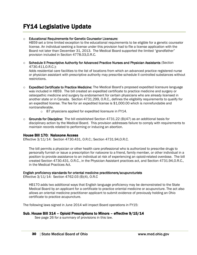# FY14 Legislative Update

#### o Educational Requirements for Genetic Counselor Licensure:

HB59 set a time limited exception to the educational requirements to be eligible for a genetic counselor license. An individual seeking a license under this provision had to file a license application with the Board not later than December 31, 2013. The Medical Board supported the limited "grandfather" provision included in Section 4778.03,O.R.C.

o Schedule II Prescriptive Authority for Advanced Practice Nurses and Physician Assistants (Section 4730.411,O.R.C.):

Adds residential care facilities to the list of locations from which an advanced practice registered nurse or physician assistant with prescriptive authority may prescribe schedule II controlled substances without restrictions.

- $\circ$  Expedited Certificate to Practice Medicine: The Medical Board's proposed expedited licensure language was included in HB59. The bill created an expedited certificate to practice medicine and surgery or osteopathic medicine and surgery by endorsement for certain physicians who are already licensed in another state or in Canada. Section 4731.299, O.R.C., defines the eligibility requirements to qualify for an expedited license. The fee for an expedited license is \$1,000.00 which is nonrefundable and nontransferable.
	- o 87 physicians applied for expedited licensure in FY14.
- $\circ$  Grounds for Discipline: The bill established Section 4731.22 (B)(47) as an additional basis for disciplinary action by the Medical Board. This provision addresses failure to comply with requirements to maintain records related to performing or inducing an abortion.

#### House Bill 170: Naloxone Access

Effective 3/11/14: Section 4730.431, O.R.C.; Section 4731.94,O.R.C.

The bill permits a physician or other health care professional who is authorized to prescribe drugs to personally furnish or issue a prescription for naloxone to a friend, family member, or other individual in a position to provide assistance to an individual at risk of experiencing an opioid-related overdose. The bill created Section 4730.431, O.R.C., in the Physician Assistant practices act, and Section 4731.94,O.R.C., in the Medical Practices Act.

#### English proficiency standards for oriental medicine practitioners/acupuncturists

Effective 3/11/14: Section 4762.03 (B)(4), O.R.C

HB170 adds two additional ways that English language proficiency may be demonstrated to the State Medical Board by an applicant for a certificate to practice oriental medicine or acupuncture. The act also allows an oriental medicine practitioner applicant to submit evidence of previously holding an Ohio certificate to practice acupuncture.

The following laws signed in June 2014 will impact Board operations in FY15:

#### Sub. House Bill 314 – Opioid Prescriptions to Minors – effective 9/15/14

See page 26 for a summary of provisions in this law.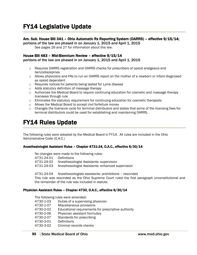#### Am. Sub. House Bill 341 – Ohio Automatic Rx Reporting System (OARRS) – effective 9/15/14;

portions of the law are phased in on January 1, 2015 and April 1, 2015

See pages 26 and 27 for information about this law.

#### House Bill 483 – Mid-Biennium Review – effective 9/15/14

portions of the law are phased in on January 1, 2015 and April 1, 2015

- o Requires OARRS registration and OARRS checks for prescribers of opioid analgesics and benzodiazepines
- $\circ$  Allows physicians and PAs to run an OARRS report on the mother of a newborn or infant diagnosed as opioid dependent
- o Requires notices for patients being tested for Lyme disease
- o Adds statutory definition of massage therapy
- o Authorizes the Medical Board to require continuing education for cosmetic and massage therapy licensees through rule
- o Eliminates the statutory requirement for continuing education for cosmetic therapists
- o Allows the Medical Board to accept civil forfeiture money
- $\circ$  Changes the licensure cycle for terminal distributors and states that some of the licensing fees for terminal distributors could be used for establishing and maintaining OARRS.

### FY14 Rules Update

The following rules were adopted by the Medical Board in FY14. All rules are included in the Ohio Administrative Code (O.A.C.)

#### Anesthesiologist Assistant Rules – Chapter 4731-24, O.A.C., effective 6/30/14

No changes were made to the following rules:

4731-24-01 Definitions

- 4731-24-02 Anesthesiologist Assistants: supervision
- 4731-24-03 Anesthesiologist Assistants: enhanced supervision
- 4731-24-04 Anesthesiologists assistants: prohibitions rescinded

This rule was rescinded as the Ohio Supreme Court ruled the first paragraph unconstitutional and the remainder of the rule was included in statute.

#### Physician Assistant Rules – Chapter 4730, O.A.C., effective 6/30/14

The following rules were amended:

- 4730-1-03 Duties of a supervising physician
- 4730-1-07 Miscellaneous provisions
- 4730-2-02 Educational requirements for prescriptive authority
- 4730-2-06 Physician assistant formulary
- 4730-2-07 Standards for prescribing
- 4730-3-01 Definitions
- 4730-3-02 Criminal records checks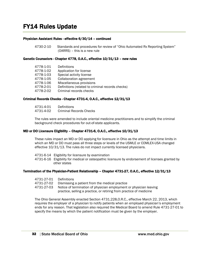### FY14 Rules Update

#### Physician Assistant Rules - effective 6/30/14 – continued

4730-2-10 Standards and procedures for review of "Ohio Automated Rx Reporting System" (OARRS) – this is a new rule

#### Genetic Counselors - Chapter 4778, O.A.C., effective 10/31/13 – new rules

| 4778-1-01 | Definitions                                      |
|-----------|--------------------------------------------------|
| 4778-1-02 | Application for license                          |
| 4778-1-03 | Special activity license                         |
| 4778-1-05 | <b>Collaboration agreement</b>                   |
| 4778-1-06 | Miscellaneous provisions                         |
| 4778-2-01 | Definitions (related to criminal records checks) |
| 4778-2-02 | Criminal records checks                          |
|           |                                                  |

#### Criminal Records Checks - Chapter 4731-4, O.A.C., effective 12/31/13

| 4731-4-01 | Definitions             |
|-----------|-------------------------|
| 4731-4-02 | Criminal Records Checks |

The rules were amended to include oriental medicine practitioners and to simplify the criminal background check procedures for out-of-state applicants.

#### MD or DO Licensure Eligibility – Chapter 4731-6, O.A.C., effective 10/31/13

These rules impact an MD or DO applying for licensure in Ohio as the attempt and time limits in which an MD or DO must pass all three steps or levels of the USMLE or COMLEX-USA changed effective 10/31/13. The rules do not impact currently licensed physicians.

- 4731-6-14 Eligibility for licensure by examination
- 4731-6-16 Eligibility for medical or osteopathic licensure by endorsement of licenses granted by other states

#### Termination of the Physician-Patient Relationship – Chapter 4731-27, O.A.C., effective 12/31/13

| 4731-27-01 Definitions |                                                                     |
|------------------------|---------------------------------------------------------------------|
| 4731-27-02             | Dismissing a patient from the medical practice                      |
| 4731-27-03             | Notice of termination of physician employment or physician leaving  |
|                        | practice, selling a practice, or retiring from practice of medicine |

The Ohio General Assembly enacted Section 4731.228,O.R.C., effective March 22, 2013, which requires the employer of a physician to notify patients when an employed physician's employment ends for any reason. That legislation also required the Medical Board to amend Rule 4731-27-01 to specify the means by which the patient notification must be given by the employer.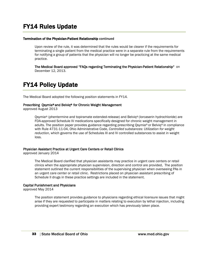#### Termination of the Physician-Patient Relationship continued

Upon review of the rule, it was determined that the rules would be clearer if the requirements for terminating a single patient from the medical practice were in a separate rule from the requirements for notifying a group of patients that the physician will no longer be practicing at the same medical practice.

The Medical Board approved "FAQs regarding Terminating the Physician-Patient Relationship" on December 12, 2013.

# FY14 Policy Update

The Medical Board adopted the following position statements in FY14.

#### Prescribing Qsymia® and Belviq® for Chronic Weight Management

approved August 2013

Qsymia® (phentermine and topiramate extended-release) and Belviq® (lorcaserin hydrochloride) are FDA-approved Schedule IV medications specifically designed for chronic weight management in adults. The position paper provides guidance regarding prescribing Qsymia® or Belviq® in compliance with Rule 4731-11-04, Ohio Administrative Code, *Controlled substances: Utilization for weight reduction*, which governs the use of Schedules III and IV controlled substances to assist in weight loss.

#### Physician Assistant Practice at Urgent Care Centers or Retail Clinics

approved January 2014

The Medical Board clarified that physician assistants may practice in urgent care centers or retail clinics when the appropriate physician supervision, direction and control are provided. The position statement outlined the current responsibilities of the supervising physician when overseeing PAs in an urgent care center or retail clinic. Restrictions placed on physician assistant prescribing of Schedule II drugs in these practice settings are included in the statement.

#### Capital Punishment and Physicians

approved May 2014

The position statement provides guidance to physicians regarding ethical licensure issues that might arise if they are requested to participate in matters relating to execution by lethal injection, including providing expert testimony regarding an execution which has previously taken place.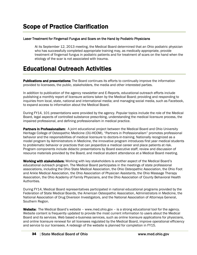#### Laser Treatment for Fingernail Fungus and Scars on the Hand by Podiatric Physicians

At its September 12, 2013 meeting, the Medical Board determined that an Ohio podiatric physician who has successfully completed appropriate training may, as medically appropriate, provide treatment of fingernail fungus in podiatric patients and for treatment of scars on the hand when the etiology of the scar is not associated with trauma.

# Educational Outreach Activities

**Publications and presentations:** The Board continues its efforts to continually improve the information provided to licensees, the public, stakeholders, the media and other interested parties.

In addition to publication of the agency newsletter and E-Reports, educational outreach efforts include publishing a monthly report of licensure actions taken by the Medical Board; providing and responding to inquiries from local, state, national and international media; and managing social media, such as Facebook, to expand access to information about the Medical Board.

During FY14, 101 presentations were provided by the agency. Popular topics include the role of the Medical Board, legal aspects of controlled substance prescribing, understanding the medical licensure process, the impaired professional, and defining professionalism in medical practice.

**Partners in Professionalism:** A joint educational project between the Medical Board and Ohio University Heritage College of Osteopathic Medicine (OU-HCOM), "Partners in Professionalism" promotes professional behavior and the responsibilities of medical licensure to doctors-in-training. Nationally recognized as a model program by Administrators in Medicine, the innovative program introduces first year medical students to problematic behavior or practices that can jeopardize a medical career and place patients at risk. Program components include didactic presentations by Board executive staff, review and discussion of resource materials provided by the Board, and medical student attendance at a Medical Board meeting.

Working with stakeholders: Working with key stakeholders is another aspect of the Medical Board's educational outreach program. The Medical Board participates in the meetings of state professional associations, including the Ohio State Medical Association, the Ohio Osteopathic Association, the Ohio Foot and Ankle Medical Association, the Ohio Association of Physician Assistants, the Ohio Massage Therapy Association, the Ohio Academy of Family Physicians, and the Ohio Association of County Behavioral Health Authorities.

During FY14, Medical Board representatives participated in national educational programs provided by the Federation of State Medical Boards, the American Osteopathic Association, Administrators in Medicine, the National Association of Drug Diversion Investigators, and the National Association of Attorneys General, Southern Region.

Website: The Medical Board's website – www.med.ohio.gov – is a strong educational tool for the agency. Website content is frequently updated to provide the most current information to users about the Medical Board and its services. Web based e-business services, such as online licensure applications for physicians, and online licensure renewal for all licensees regulated by the Medical Board, improve operational efficiency and service to our licensees. A redesign of the website is planned for completion in FY15.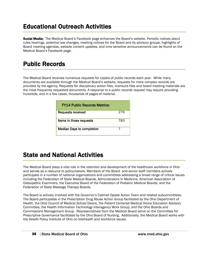# Educational Outreach Activities

Social Media: The Medical Board's Facebook page enhances the Board's website. Periodic notices about rules hearings, potential law changes, meeting notices for the Board and its advisory groups, highlights of Board meeting agendas, website content updates, and time sensitive announcements can be found on the Medical Board's Facebook page.

# Public Records

The Medical Board receives numerous requests for copies of public records each year. While many documents are available through the Medical Board's website, requests for more complex records are provided by the agency. Requests for disciplinary action files, licensure files and board meeting materials are the most frequently requested documents. A response to a public records request may require providing hundreds, and in a few cases, thousands of pages of material.

| <b>FY14 Public Records Metrics:</b> |     |
|-------------------------------------|-----|
| <b>Requests received</b>            | 276 |
| Items in those requests             | 783 |
| <b>Median Days to completion</b>    |     |

### State and National Activities

The Medical Board plays a vital role in the retention and development of the healthcare workforce in Ohio and serves as a resource to policymakers. Members of the Board and senior staff members actively participate in a number of national organizations and committees addressing a broad range of critical issues including the Federation of State Medical Boards, Administrators in Medicine, American Association of Osteopathic Examiners, the Executive Board of the Federation of Podiatric Medical Boards, and the Federation of State Massage Therapy Boards.

The Board is actively involved with the Governor's Cabinet Opiate Action Team and related subcommittees. The Board participates in the Prescription Drug Abuse Action Group facilitated by the Ohio Department of Health, the Ohio Council of Medical School Deans, the Patient Centered Medical Home Education Advisory Committee, the Health Information Technology Interagency Work Group, and the Ohio Boards and Commissions Management Group. Representatives from the Medical Board serve on the Committee for Prescriptive Governance facilitated by the Ohio Board of Nursing. Additionally, the Medical Board works with the Health Policy Institute of Ohio on telehealth and workforce issues.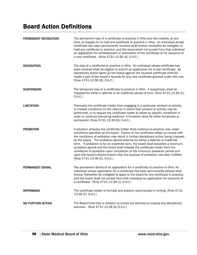# Board Action Definitions

| PERMANENT REVOCATION     | The permanent loss of a certificate to practice in Ohio and the inability, at any<br>time, to reapply for or hold any certificate to practice in Ohio. An individual whose<br>certificate has been permanently revoked shall forever thereafter be ineligible to<br>hold any certificate to practice, and the board shall not accept from that individual<br>an application for reinstatement or restoration of the certificate or for issuance of<br>a new certificate. (Rule 4731-13-36 (A), O.A.C.)                                                                                                                                                                                                                     |
|--------------------------|----------------------------------------------------------------------------------------------------------------------------------------------------------------------------------------------------------------------------------------------------------------------------------------------------------------------------------------------------------------------------------------------------------------------------------------------------------------------------------------------------------------------------------------------------------------------------------------------------------------------------------------------------------------------------------------------------------------------------|
| <b>REVOCATION</b>        | The loss of a certificate to practice in Ohio. An individual whose certificate has<br>been revoked shall be eligible to submit an application for a new certificate. All<br>disciplinary action taken by the board against the revoked certificate shall be<br>made a part of the board's records for any new certificate granted under this rule.<br>(Rule 4731-13-36 (B), O.A.C.)                                                                                                                                                                                                                                                                                                                                        |
| <b>SUSPENSION</b>        | The temporary loss of a certificate to practice in Ohio. A suspension shall be<br>imposed for either a definite or an indefinite period of time. (Rule 4731-13-36 (C),<br>O.A.C.)                                                                                                                                                                                                                                                                                                                                                                                                                                                                                                                                          |
| <b>LIMITATION</b>        | Precludes the certificate holder from engaging in a particular conduct or activity,<br>to impose conditions on the manner in which that conduct or activity may be<br>performed, or to require the certificate holder to abide by specific conditions in<br>order to continue practicing medicine. A limitation shall be either temporary or<br>permanent. (Rule 4731-13-36 (D), O.A.C.)                                                                                                                                                                                                                                                                                                                                   |
| <b>PROBATION</b>         | A situation whereby the certificate holder shall continue to practice only under<br>conditions specified by the board. Failure of the certificate holder to comply with<br>the conditions of probation may result in further disciplinary action being imposed<br>by the board. The probation period shall be for either a definite or indefinite<br>term. If probation is for an indefinite term, the board shall establish a minimum<br>probation period and the board shall release the certificate holder from the<br>conditions of probation upon completion of the minimum probation period and<br>upon the board's determination that the purpose of probation has been fulfilled.<br>(Rule 4731-13-36 (E), O.A.C.) |
| PERMANENT DENIAL         | The permanent denial of an application for a certificate to practice in Ohio. An<br>individual whose application for a certificate has been permanently denied shall<br>forever thereafter be ineligible to apply to the board for any certificate to practice,<br>and the board shall not accept from that individual an application for issuance of<br>a certificate. (Rule 4731-13-36 (J), O.A.C.)                                                                                                                                                                                                                                                                                                                      |
| <b>REPRIMAND</b>         | The certificate holder is formally and publicly reprimanded in writing. (Rule 4731-<br>13-36 (F), O.A.C.)                                                                                                                                                                                                                                                                                                                                                                                                                                                                                                                                                                                                                  |
| <b>NO FURTHER ACTION</b> | The Board finds that a violation occurred but declines to impose any disciplinary<br>sanction. (Rule 4731-13-36 (G) O.A.C.)                                                                                                                                                                                                                                                                                                                                                                                                                                                                                                                                                                                                |